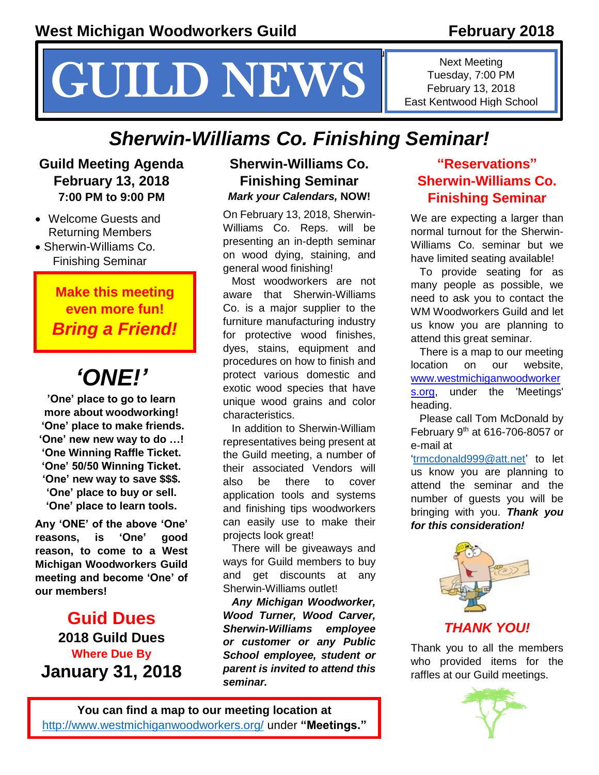# $\mathcal{G}_\mathcal{G}$  your reader to attention with a great  $\mathcal{G}_\mathcal{G}$  and use this space to emphasize a key use this space to emphasize a key use this space to emphasize a key use this space to emphasize a key use the space **CHUILD NEWS** East Kentwood High Sole

Next Meeting Tuesday, 7:00 PM East Kentwood High School

# *Sherwin-Williams Co. Finishing Seminar!*

#### **Guild Meeting Agenda February 13, 2018 7:00 PM to 9:00 PM**

- Welcome Guests and Returning Members
- Sherwin-Williams Co. Finishing Seminar

# **Make this meeting even more fun!**  *Bring a Friend!*

# *'ONE!'*

**'One' place to go to learn more about woodworking! 'One' place to make friends. 'One' new new way to do …! 'One Winning Raffle Ticket. 'One' 50/50 Winning Ticket. 'One' new way to save \$\$\$. 'One' place to buy or sell. 'One' place to learn tools.**

**Any 'ONE' of the above 'One' reasons, is 'One' good reason, to come to a West Michigan Woodworkers Guild meeting and become 'One' of our members!**

**Guid Dues 2018 Guild Dues Where Due By January 31, 2018**

#### **Sherwin-Williams Co. Finishing Seminar** *Mark your Calendars,* **NOW!**

On February 13, 2018, Sherwin-Williams Co. Reps. will be presenting an in-depth seminar on wood dying, staining, and general wood finishing!

Most woodworkers are not aware that Sherwin-Williams Co. is a major supplier to the furniture manufacturing industry for protective wood finishes, dyes, stains, equipment and procedures on how to finish and protect various domestic and exotic wood species that have unique wood grains and color characteristics.

In addition to Sherwin-William representatives being present at the Guild meeting, a number of their associated Vendors will also be there to cover application tools and systems and finishing tips woodworkers can easily use to make their projects look great!

There will be giveaways and ways for Guild members to buy and get discounts at any Sherwin-Williams outlet!

*Any Michigan Woodworker, Wood Turner, Wood Carver, Sherwin-Williams employee or customer or any Public School employee, student or parent is invited to attend this seminar.*

## **"Reservations" Sherwin-Williams Co. Finishing Seminar**

We are expecting a larger than normal turnout for the Sherwin-Williams Co. seminar but we have limited seating available!

To provide seating for as many people as possible, we need to ask you to contact the WM Woodworkers Guild and let us know you are planning to attend this great seminar.

There is a map to our meeting location on our website, [www.westmichiganwoodworker](http://www.westmichiganwoodworkers.org/) [s.org,](http://www.westmichiganwoodworkers.org/) under the 'Meetings' heading.

Please call Tom McDonald by February 9<sup>th</sup> at 616-706-8057 or e-mail at

['trmcdonald999@att.net'](file:///C:/Users/McDonald/Documents/WW%20Guild%20Docs/WW%20Guild%20Docs/Newsletter%20Articles%20by%20TRM/February%202018/trmcdonald999@att.net) to let us know you are planning to attend the seminar and the number of guests you will be bringing with you. *Thank you for this consideration!*



Thank you to all the members who provided items for the raffles at our Guild meetings.

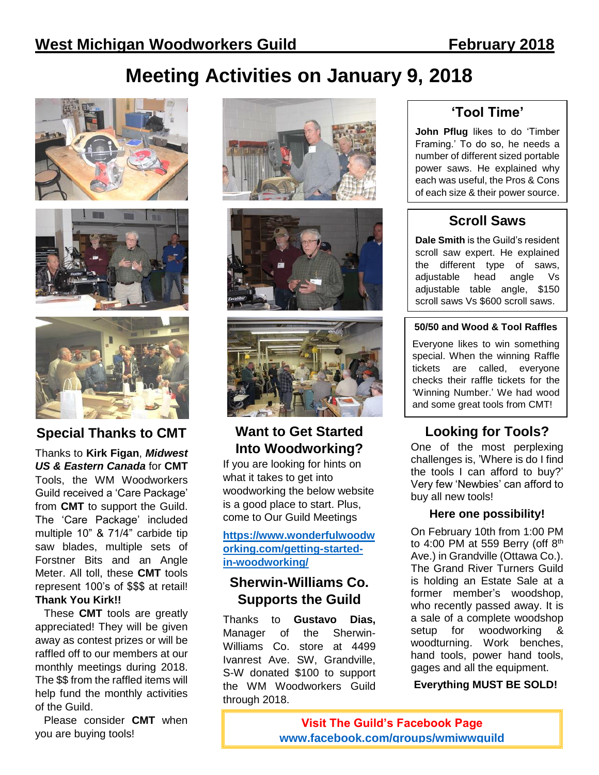# **Meeting Activities on January 9, 2018**







**Special Thanks to CMT**

Thanks to **Kirk Figan**, *Midwest US & Eastern Canada* for **CMT**  Tools, the WM Woodworkers Guild received a 'Care Package' from **CMT** to support the Guild. The 'Care Package' included multiple 10" & 71/4" carbide tip saw blades, multiple sets of Forstner Bits and an Angle Meter. All toll, these **CMT** tools represent 100's of \$\$\$ at retail! **Thank You Kirk!!**

These **CMT** tools are greatly appreciated! They will be given away as contest prizes or will be raffled off to our members at our monthly meetings during 2018. The \$\$ from the raffled items will help fund the monthly activities of the Guild.

Please consider **CMT** when you are buying tools!







### **Want to Get Started Into Woodworking?**

If you are looking for hints on what it takes to get into woodworking the below website is a good place to start. Plus, come to Our Guild Meetings

#### **[https://www.wonderfulwoodw](https://www.wonderfulwoodworking.com/getting-started-in-woodworking/) [orking.com/getting-started](https://www.wonderfulwoodworking.com/getting-started-in-woodworking/)[in-woodworking/](https://www.wonderfulwoodworking.com/getting-started-in-woodworking/)**

#### **Sherwin-Williams Co. Supports the Guild**

Thanks to **Gustavo Dias,**  Manager of the Sherwin-Williams Co. store at 4499 Ivanrest Ave. SW, Grandville, S-W donated \$100 to support the WM Woodworkers Guild through 2018.

## **'Tool Time'**

**John Pflug** likes to do 'Timber Framing.' To do so, he needs a number of different sized portable power saws. He explained why each was useful, the Pros & Cons of each size & their power source.

## **Scroll Saws**

**Dale Smith** is the Guild's resident scroll saw expert. He explained the different type of saws, adjustable head angle Vs adjustable table angle, \$150 scroll saws Vs \$600 scroll saws.

#### **50/50 and Wood & Tool Raffles**

Everyone likes to win something special. When the winning Raffle tickets are called, everyone checks their raffle tickets for the 'Winning Number.' We had wood and some great tools from CMT!

## **Looking for Tools?**

One of the most perplexing challenges is, 'Where is do I find the tools I can afford to buy?' Very few 'Newbies' can afford to buy all new tools!

#### **Here one possibility!**

On February 10th from 1:00 PM to 4:00 PM at 559 Berry (off  $8<sup>th</sup>$ Ave.) in Grandville (Ottawa Co.). The Grand River Turners Guild is holding an Estate Sale at a former member's woodshop, who recently passed away. It is a sale of a complete woodshop setup for woodworking & woodturning. Work benches, hand tools, power hand tools, gages and all the equipment.

**Everything MUST BE SOLD!**

**Visit The Guild's Facebook Page [www.facebook.com/groups/wmiwwguild](http://www.facebook.com/groups/wmiwwguild)**